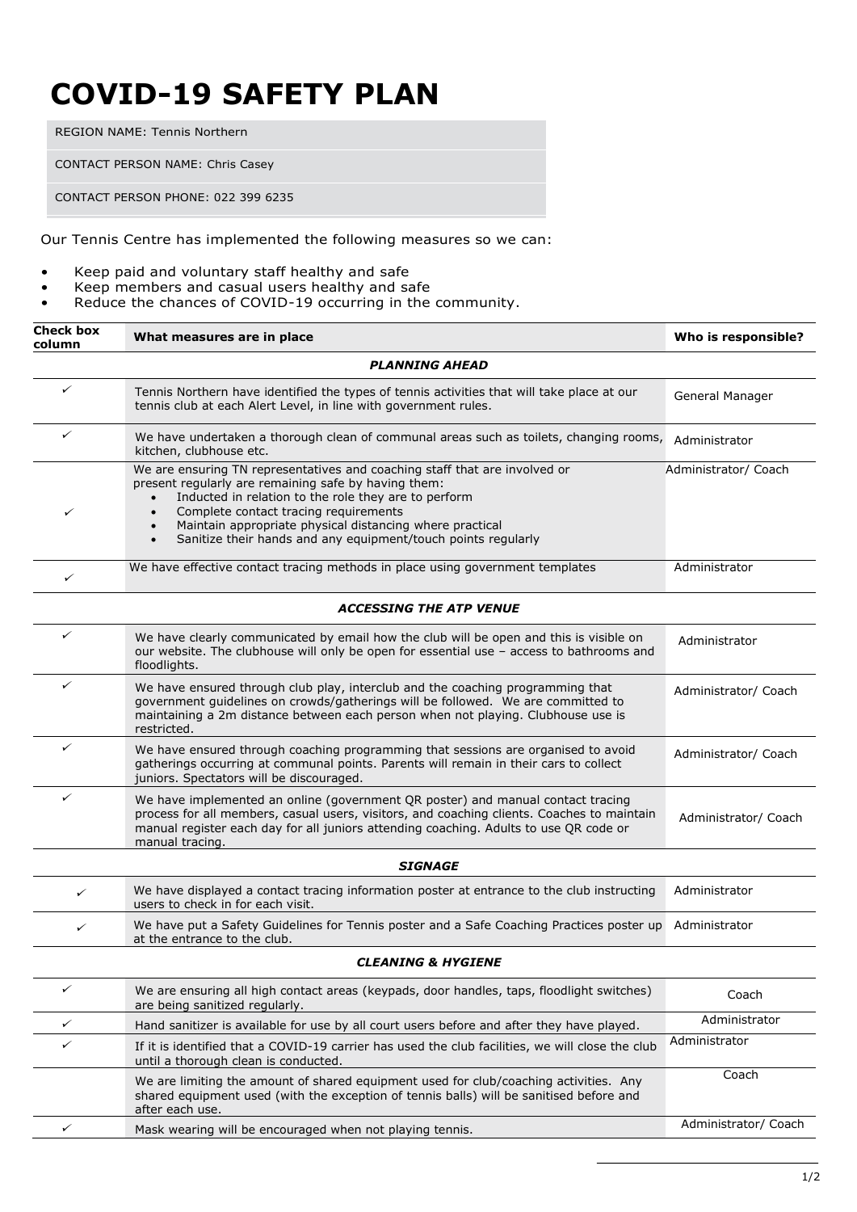## **COVID-19 SAFETY PLAN**

REGION NAME: Tennis Northern

CONTACT PERSON NAME: Chris Casey

CONTACT PERSON PHONE: 022 399 6235

Our Tennis Centre has implemented the following measures so we can:

- Keep paid and voluntary staff healthy and safe
- Keep members and casual users healthy and safe
- Reduce the chances of COVID-19 occurring in the community.

| column | What measures are in place                                                                                                                                                                                                                                                                                                                                                    | Who is responsible?  |
|--------|-------------------------------------------------------------------------------------------------------------------------------------------------------------------------------------------------------------------------------------------------------------------------------------------------------------------------------------------------------------------------------|----------------------|
|        | <b>PLANNING AHEAD</b>                                                                                                                                                                                                                                                                                                                                                         |                      |
| ✓      | Tennis Northern have identified the types of tennis activities that will take place at our<br>tennis club at each Alert Level, in line with government rules.                                                                                                                                                                                                                 | General Manager      |
| ✓      | We have undertaken a thorough clean of communal areas such as toilets, changing rooms,<br>kitchen, clubhouse etc.                                                                                                                                                                                                                                                             | Administrator        |
| ✓      | We are ensuring TN representatives and coaching staff that are involved or<br>present regularly are remaining safe by having them:<br>Inducted in relation to the role they are to perform<br>Complete contact tracing requirements<br>$\bullet$<br>Maintain appropriate physical distancing where practical<br>Sanitize their hands and any equipment/touch points regularly | Administrator/ Coach |
| ✓      | We have effective contact tracing methods in place using government templates                                                                                                                                                                                                                                                                                                 | Administrator        |
|        | <b>ACCESSING THE ATP VENUE</b>                                                                                                                                                                                                                                                                                                                                                |                      |
| ✓      | We have clearly communicated by email how the club will be open and this is visible on<br>our website. The clubhouse will only be open for essential use - access to bathrooms and<br>floodlights.                                                                                                                                                                            | Administrator        |
| ✓      | We have ensured through club play, interclub and the coaching programming that<br>government guidelines on crowds/gatherings will be followed. We are committed to<br>maintaining a 2m distance between each person when not playing. Clubhouse use is<br>restricted.                                                                                                         | Administrator/ Coach |
| ✓      | We have ensured through coaching programming that sessions are organised to avoid<br>gatherings occurring at communal points. Parents will remain in their cars to collect<br>juniors. Spectators will be discouraged.                                                                                                                                                        | Administrator/ Coach |
| ✓      | We have implemented an online (government QR poster) and manual contact tracing<br>process for all members, casual users, visitors, and coaching clients. Coaches to maintain<br>manual register each day for all juniors attending coaching. Adults to use QR code or<br>manual tracing.                                                                                     | Administrator/ Coach |
|        | <b>SIGNAGE</b>                                                                                                                                                                                                                                                                                                                                                                |                      |
| ✓      | We have displayed a contact tracing information poster at entrance to the club instructing<br>users to check in for each visit.                                                                                                                                                                                                                                               | Administrator        |
| ✓      | We have put a Safety Guidelines for Tennis poster and a Safe Coaching Practices poster up<br>at the entrance to the club.                                                                                                                                                                                                                                                     | Administrator        |
|        | <b>CLEANING &amp; HYGIENE</b>                                                                                                                                                                                                                                                                                                                                                 |                      |
| ✓      | We are ensuring all high contact areas (keypads, door handles, taps, floodlight switches)<br>are being sanitized regularly.                                                                                                                                                                                                                                                   | Coach                |
| ✓      | Hand sanitizer is available for use by all court users before and after they have played.                                                                                                                                                                                                                                                                                     | Administrator        |
| ✓      | If it is identified that a COVID-19 carrier has used the club facilities, we will close the club<br>until a thorough clean is conducted.                                                                                                                                                                                                                                      | Administrator        |
|        | We are limiting the amount of shared equipment used for club/coaching activities. Any<br>shared equipment used (with the exception of tennis balls) will be sanitised before and<br>after each use.                                                                                                                                                                           | Coach                |
| ✓      | Mask wearing will be encouraged when not playing tennis.                                                                                                                                                                                                                                                                                                                      | Administrator/ Coach |